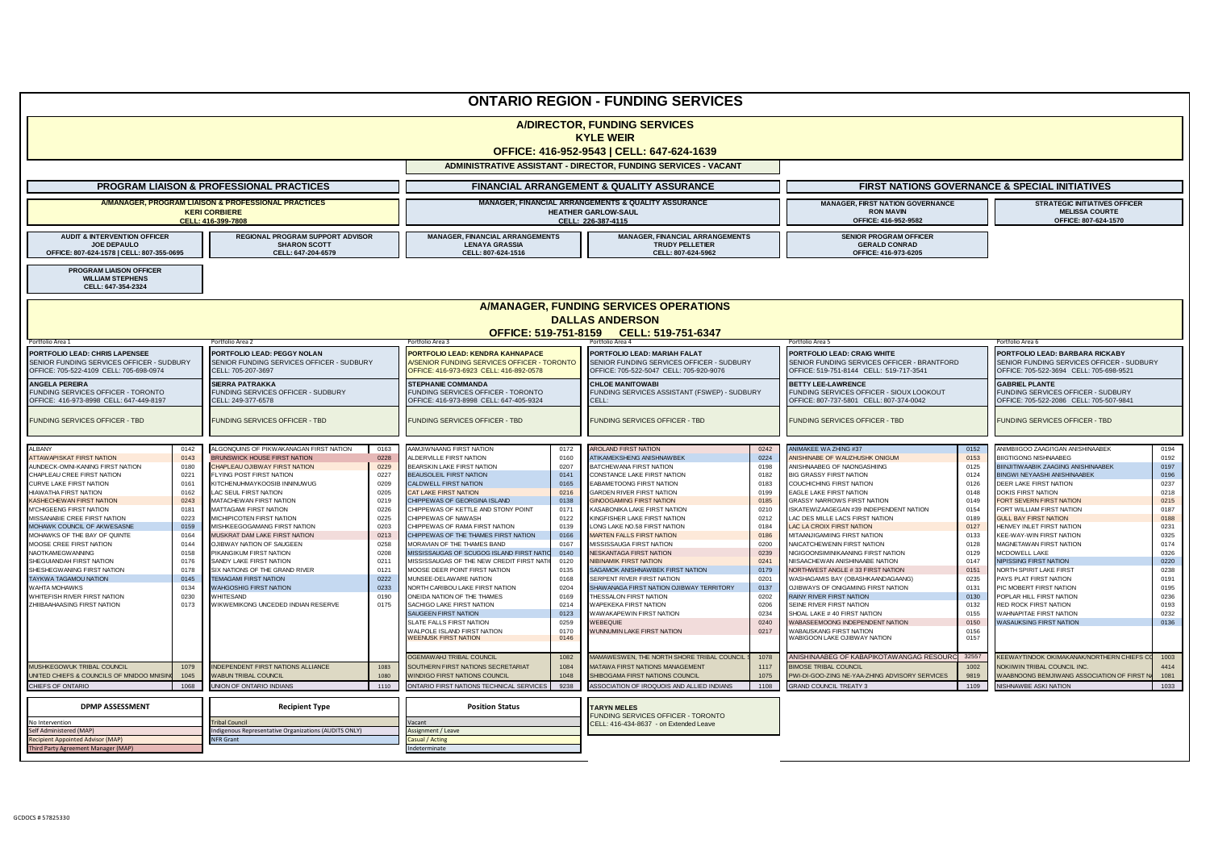| <b>ONTARIO REGION - FUNDING SERVICES</b>                                                                               |              |                                                                                                |              |                                                                                                                            |                                                                                                         |                                                                                                                      |                                                                                     |                                                                                                                       |                                                                                       |                                                                                                        |              |  |
|------------------------------------------------------------------------------------------------------------------------|--------------|------------------------------------------------------------------------------------------------|--------------|----------------------------------------------------------------------------------------------------------------------------|---------------------------------------------------------------------------------------------------------|----------------------------------------------------------------------------------------------------------------------|-------------------------------------------------------------------------------------|-----------------------------------------------------------------------------------------------------------------------|---------------------------------------------------------------------------------------|--------------------------------------------------------------------------------------------------------|--------------|--|
| <b>A/DIRECTOR, FUNDING SERVICES</b><br><b>KYLE WEIR</b><br>OFFICE: 416-952-9543   CELL: 647-624-1639                   |              |                                                                                                |              |                                                                                                                            |                                                                                                         |                                                                                                                      |                                                                                     |                                                                                                                       |                                                                                       |                                                                                                        |              |  |
|                                                                                                                        |              |                                                                                                |              |                                                                                                                            |                                                                                                         | ADMINISTRATIVE ASSISTANT - DIRECTOR, FUNDING SERVICES - VACANT                                                       |                                                                                     |                                                                                                                       |                                                                                       |                                                                                                        |              |  |
|                                                                                                                        |              | <b>PROGRAM LIAISON &amp; PROFESSIONAL PRACTICES</b>                                            |              | <b>FINANCIAL ARRANGEMENT &amp; QUALITY ASSURANCE</b>                                                                       |                                                                                                         |                                                                                                                      |                                                                                     | <b>FIRST NATIONS GOVERNANCE &amp; SPECIAL INITIATIVES</b>                                                             |                                                                                       |                                                                                                        |              |  |
| A/MANAGER, PROGRAM LIAISON & PROFESSIONAL PRACTICES<br><b>KERI CORBIERE</b><br>CELL: 416-399-7808                      |              |                                                                                                |              |                                                                                                                            | MANAGER, FINANCIAL ARRANGEMENTS & QUALITY ASSURANCE<br><b>HEATHER GARLOW-SAUL</b><br>CELL: 226-387-4115 |                                                                                                                      | <b>MANAGER, FIRST NATION GOVERNANCE</b><br><b>RON MAVIN</b><br>OFFICE: 416-952-9582 |                                                                                                                       | <b>STRATEGIC INITIATIVES OFFICER</b><br><b>MELISSA COURTE</b><br>OFFICE: 807-624-1570 |                                                                                                        |              |  |
| <b>AUDIT &amp; INTERVENTION OFFICER</b><br>JOE DEPAULO<br>OFFICE: 807-624-1578   CELL: 807-355-0695                    |              | REGIONAL PROGRAM SUPPORT ADVISOR<br><b>SHARON SCOTT</b><br>CELL: 647-204-6579                  |              | <b>MANAGER, FINANCIAL ARRANGEMENTS</b><br><b>LENAYA GRASSIA</b><br>CELL: 807-624-1516                                      |                                                                                                         | <b>MANAGER, FINANCIAL ARRANGEMENTS</b><br><b>TRUDY PELLETIER</b><br>CELL: 807-624-5962                               |                                                                                     | <b>SENIOR PROGRAM OFFICER</b><br><b>GERALD CONRAD</b><br>OFFICE: 416-973-6205                                         |                                                                                       |                                                                                                        |              |  |
| PROGRAM LIAISON OFFICER<br><b>WILLIAM STEPHENS</b><br>CELL: 647-354-2324                                               |              |                                                                                                |              |                                                                                                                            |                                                                                                         |                                                                                                                      |                                                                                     |                                                                                                                       |                                                                                       |                                                                                                        |              |  |
|                                                                                                                        |              |                                                                                                |              |                                                                                                                            |                                                                                                         | A/MANAGER, FUNDING SERVICES OPERATIONS                                                                               |                                                                                     |                                                                                                                       |                                                                                       |                                                                                                        |              |  |
|                                                                                                                        |              |                                                                                                |              |                                                                                                                            |                                                                                                         | <b>DALLAS ANDERSON</b><br>OFFICE: 519-751-8159 CELL: 519-751-6347                                                    |                                                                                     |                                                                                                                       |                                                                                       |                                                                                                        |              |  |
| Portfolio Area 1                                                                                                       |              | ortfolio Area 2                                                                                |              | ortfolio Area 3                                                                                                            |                                                                                                         | Portfolio Area 4                                                                                                     |                                                                                     | Portfolio Area 5                                                                                                      |                                                                                       | Portfolio Area 6<br>PORTFOLIO LEAD: BARBARA RICKABY                                                    |              |  |
| PORTFOLIO LEAD: CHRIS LAPENSEE<br>SENIOR FUNDING SERVICES OFFICER - SUDBURY<br>OFFICE: 705-522-4109 CELL: 705-698-0974 |              | PORTFOLIO LEAD: PEGGY NOLAN<br>SENIOR FUNDING SERVICES OFFICER - SUDBURY<br>CELL: 705-207-3697 |              | PORTFOLIO LEAD: KENDRA KAHNAPACE<br>A/SENIOR FUNDING SERVICES OFFICER - TORONTO<br>OFFICE: 416-973-6923 CELL: 416-892-0578 |                                                                                                         | PORTFOLIO LEAD: MARIAH FALAT<br>SENIOR FUNDING SERVICES OFFICER - SUDBURY<br>OFFICE: 705-522-5047 CELL: 705-920-9076 |                                                                                     | PORTFOLIO LEAD: CRAIG WHITE<br>SENIOR FUNDING SERVICES OFFICER - BRANTFORD<br>OFFICE: 519-751-8144 CELL: 519-717-3541 |                                                                                       | SENIOR FUNDING SERVICES OFFICER - SUDBURY<br>OFFICE: 705-522-3694 CELL: 705-698-9521                   |              |  |
| <b>ANGELA PEREIRA</b><br>UNDING SERVICES OFFICER - TORONTO<br>OFFICE: 416-973-8998 CELL: 647-449-8197                  |              | <b>SIERRA PATRAKKA</b><br>FUNDING SERVICES OFFICER - SUDBURY<br>CELL: 249-377-6578             |              | <b>STEPHANIE COMMANDA</b><br>FUNDING SERVICES OFFICER - TORONTO<br>OFFICE: 416-973-8998 CELL: 647-405-9324                 |                                                                                                         | <b>CHLOE MANITOWABI</b><br>FUNDING SERVICES ASSISTANT (FSWEP) - SUDBURY<br>CELL:                                     |                                                                                     | <b>BETTY LEE-LAWRENCE</b><br>FUNDING SERVICES OFFICER - SIOUX LOOKOUT<br>OFFICE: 807-737-5801 CELL: 807-374-0042      |                                                                                       | <b>GABRIEL PLANTE</b><br>FUNDING SERVICES OFFICER - SUDBURY<br>OFFICE: 705-522-2086 CELL: 705-507-9841 |              |  |
| FUNDING SERVICES OFFICER - TBD                                                                                         |              | FUNDING SERVICES OFFICER - TBD                                                                 |              | FUNDING SERVICES OFFICER - TBD                                                                                             |                                                                                                         | FUNDING SERVICES OFFICER - TBD                                                                                       |                                                                                     | FUNDING SERVICES OFFICER - TBD                                                                                        |                                                                                       | FUNDING SERVICES OFFICER - TBD                                                                         |              |  |
| <b>ALBANY</b>                                                                                                          | 0142         | ALGONQUINS OF PIKWAKANAGAN FIRST NATION                                                        | 0163         | AAMJIWNAANG FIRST NATION                                                                                                   | 0172                                                                                                    | <b>AROLAND FIRST NATION</b>                                                                                          | 0242                                                                                | ANIMAKEE WA ZHING #37                                                                                                 | 0152                                                                                  | ANIMBIIGOO ZAAGI'IGAN ANISHINAABEK                                                                     | 0194         |  |
| ATTAWAPISKAT FIRST NATION<br><b>AUNDECK-OMNI-KANING FIRST NATION</b>                                                   | 0143<br>0180 | BRUNSWICK HOUSE FIRST NATION<br>CHAPLEAU OJIBWAY FIRST NATION                                  | 0228<br>0229 | ALDERVILLE FIRST NATION<br>BEARSKIN LAKE FIRST NATION                                                                      | 0160<br>0207                                                                                            | ATIKAMEKSHENG ANISHNAWBEK<br>BATCHEWANA FIRST NATION                                                                 | 0224<br>0198                                                                        | ANISHINABE OF WAUZHUSHK ONIGUM<br>ANISHNAABEG OF NAONGASHIING                                                         | 0153<br>0125                                                                          | <b>BIIGTIGONG NISHNAABEG</b><br>BIINJITIWAABIK ZAAGING ANISHINAABEK                                    | 0192<br>0197 |  |
| CHAPLEAU CREE FIRST NATION                                                                                             | 0221         | FLYING POST FIRST NATION                                                                       | 0227         | <b>BEAUSOLEIL FIRST NATION</b>                                                                                             | 0141                                                                                                    | CONSTANCE LAKE FIRST NATION                                                                                          | 0182                                                                                | <b>BIG GRASSY FIRST NATION</b>                                                                                        | 0124                                                                                  | BINGWI NEYAASHI ANISHINAABEK                                                                           | 0196         |  |
| CURVE LAKE FIRST NATION                                                                                                | 0161<br>0162 | KITCHENUHMAYKOOSIB INNINUWUG                                                                   | 0209<br>0205 | CALDWELL FIRST NATION                                                                                                      | 0165<br>0216                                                                                            | EABAMETOONG FIRST NATION                                                                                             | 0183<br>0199                                                                        | COUCHICHING FIRST NATION                                                                                              | 0126                                                                                  | DEER LAKE FIRST NATION                                                                                 | 0237         |  |
| HIAWATHA FIRST NATION<br><b>KASHECHEWAN FIRST NATION</b>                                                               | 0243         | LAC SEUL FIRST NATION<br>MATACHEWAN FIRST NATION                                               | 0219         | <b>CAT LAKE FIRST NATION</b><br>CHIPPEWAS OF GEORGINA ISLAND                                                               | 0138                                                                                                    | <b>GARDEN RIVER FIRST NATION</b><br><b>GINOOGAMING FIRST NATION</b>                                                  | 0185                                                                                | <b>EAGLE LAKE FIRST NATION</b><br><b>GRASSY NARROWS FIRST NATION</b>                                                  | 0148<br>0149                                                                          | <b>DOKIS FIRST NATION</b><br>FORT SEVERN FIRST NATION                                                  | 0218<br>0215 |  |
| M'CHIGEENG FIRST NATION                                                                                                | 0181         | MATTAGAMI FIRST NATION                                                                         | 0226         | CHIPPEWAS OF KETTLE AND STONY POINT                                                                                        | 0171                                                                                                    | KASABONIKA LAKE FIRST NATION                                                                                         | 0210                                                                                | ISKATEWIZAAGEGAN #39 INDEPENDENT NATION                                                                               | 0154                                                                                  | FORT WILLIAM FIRST NATION                                                                              | 0187         |  |
| MISSANABIE CREE FIRST NATION                                                                                           | 0223         | MICHIPICOTEN FIRST NATION                                                                      | 0225         | CHIPPEWAS OF NAWASH                                                                                                        | 0122                                                                                                    | KINGFISHER LAKE FIRST NATION                                                                                         | 0212                                                                                | LAC DES MILLE LACS FIRST NATION                                                                                       | 0189                                                                                  | <b>GULL BAY FIRST NATION</b>                                                                           | 0188         |  |
| MOHAWK COUNCIL OF AKWESASNE                                                                                            | 0159         | MISHKEEGOGAMANG FIRST NATION                                                                   | 0203         | CHIPPEWAS OF RAMA FIRST NATION                                                                                             | 0139                                                                                                    | LONG LAKE NO.58 FIRST NATION                                                                                         | 0184                                                                                | LAC LA CROIX FIRST NATION                                                                                             | 0127                                                                                  | HENVEY INLET FIRST NATION                                                                              | 0231         |  |
| MOHAWKS OF THE BAY OF QUINTE<br>MOOSE CREE FIRST NATION                                                                | 0164<br>0144 | MUSKRAT DAM LAKE FIRST NATION<br><b>OJIBWAY NATION OF SAUGEEN</b>                              | 0213<br>0258 | CHIPPEWAS OF THE THAMES FIRST NATION<br>MORAVIAN OF THE THAMES BAND                                                        | 0166<br>0167                                                                                            | <b>MARTEN FALLS FIRST NATION</b><br>MISSISSAUGA FIRST NATION                                                         | 0186<br>0200                                                                        | MITAANJIGAMIING FIRST NATION<br>NAICATCHEWENIN FIRST NATION                                                           | 0133<br>0128                                                                          | <b>KEE-WAY-WIN FIRST NATION</b><br>MAGNETAWAN FIRST NATION                                             | 0325<br>0174 |  |
| NAOTKAMFGWANNING                                                                                                       | 0158         | PIKANGIKUM FIRST NATION                                                                        | 0208         | MISSISSAUGAS OF SCUGOG ISLAND FIRST NAT                                                                                    | 0140                                                                                                    | <b>NESKANTAGA FIRST NATION</b>                                                                                       | 0239                                                                                | NIGIGOONSIMINIKAANING FIRST NATION                                                                                    | 0129                                                                                  | MCDOWELL LAKE                                                                                          | 0326         |  |
| SHEGUIANDAH FIRST NATION                                                                                               | 0176         | SANDY LAKE FIRST NATION                                                                        | 0211         | MISSISSAUGAS OF THE NEW CREDIT FIRST NAT                                                                                   | 0120                                                                                                    | NIBINAMIK FIRST NATION                                                                                               | 0241                                                                                | NIISAACHEWAN ANISHINAABE NATION                                                                                       | 0147                                                                                  | <b>NIPISSING FIRST NATION</b>                                                                          | 0220         |  |
| SHESHEGWANING FIRST NATION                                                                                             | 0178         | SIX NATIONS OF THE GRAND RIVER                                                                 | 0121         | MOOSE DEER POINT FIRST NATION                                                                                              | 0135                                                                                                    | SAGAMOK ANISHNAWBEK FIRST NATION                                                                                     | 0179                                                                                | NORTHWEST ANGLE #33 FIRST NATION                                                                                      | 0151                                                                                  | NORTH SPIRIT LAKE FIRST                                                                                | 0238         |  |
| TAYKWA TAGAMOU NATION<br><b>NAHTA MOHAWKS</b>                                                                          | 0145<br>0134 | <b>TEMAGAMI FIRST NATION</b><br><b>WAHGOSHIG FIRST NATION</b>                                  | 0222<br>0233 | MUNSEE-DELAWARE NATION<br>NORTH CARIBOU LAKE FIRST NATION                                                                  | 0168<br>0204                                                                                            | SERPENT RIVER FIRST NATION<br>SHAWANAGA FIRST NATION OJIBWAY TERRITORY                                               | 020'<br>0137                                                                        | WASHAGAMIS BAY (OBASHKAANDAGAANG)<br>OJIBWAYS OF ONIGAMING FIRST NATION                                               | 0235<br>0131                                                                          | PAYS PLAT FIRST NATION<br>PIC MOBERT FIRST NATION                                                      | 0191         |  |
| WHITEFISH RIVER FIRST NATION                                                                                           | 0230         | WHITESAND                                                                                      | 0190         | ONEIDA NATION OF THE THAMES                                                                                                | 0169                                                                                                    | THESSALON FIRST NATION                                                                                               | 0202                                                                                | <b>RAINY RIVER FIRST NATION</b>                                                                                       | 0130                                                                                  | POPLAR HILL FIRST NATION                                                                               | 0195<br>0236 |  |
| ZHIIBAAHAASING FIRST NATION                                                                                            | 0173         | WIKWEMIKONG UNCEDED INDIAN RESERVE                                                             | 0175         | SACHIGO LAKE FIRST NATION                                                                                                  | 0214                                                                                                    | <b>WAPEKEKA FIRST NATION</b>                                                                                         | 0206                                                                                | SEINE RIVER FIRST NATION                                                                                              | 0132                                                                                  | RED ROCK FIRST NATION                                                                                  | 0193         |  |
|                                                                                                                        |              |                                                                                                |              | SAUGEEN FIRST NATION                                                                                                       | 0123                                                                                                    | WAWAKAPEWIN FIRST NATION                                                                                             | 0234                                                                                | SHOAL LAKE # 40 FIRST NATION                                                                                          | 0155                                                                                  | WAHNAPITAE FIRST NATION                                                                                | 0232         |  |
|                                                                                                                        |              |                                                                                                |              | SLATE FALLS FIRST NATION<br>WALPOLE ISLAND FIRST NATION<br><b>WEENUSK FIRST NATION</b>                                     | 0259<br>0170<br>0146                                                                                    | WEBEQUIE<br><b>NUNNUMIN LAKE FIRST NATION</b>                                                                        | 0240<br>0217                                                                        | WABASEEMOONG INDEPENDENT NATION<br><b>WABAUSKANG FIRST NATION</b><br>WABIGOON LAKE OJIBWAY NATION                     | 0150<br>0156<br>0157                                                                  | <b>WASAUKSING FIRST NATION</b>                                                                         | 0136         |  |
|                                                                                                                        |              |                                                                                                |              | <b>OGEMAWAHJ TRIBAL COUNCIL</b>                                                                                            | 1082                                                                                                    | MAMAWESWEN, THE NORTH SHORE TRIBAL COUNCIL                                                                           | 1078                                                                                | ANISHINAABEG OF KABAPIKOTAWANGAG RESOURC                                                                              | 32557                                                                                 | KEEWAYTINOOK OKIMAKANAK/NORTHERN CHIEFS C                                                              | 1003         |  |
| MUSHKEGOWUK TRIBAL COUNCIL<br><b>JNITED CHIEFS &amp; COUNCILS OF MNIDOO MNISII</b>                                     | 1079<br>1045 | INDEPENDENT FIRST NATIONS ALLIANCE<br><b>WABUN TRIBAL COUNCIL</b>                              | 1083<br>1080 | SOUTHERN FIRST NATIONS SECRETARIAT<br><b>WINDIGO FIRST NATIONS COUNCIL</b>                                                 | 1084<br>1048                                                                                            | MATAWA FIRST NATIONS MANAGEMENT<br>SHIBOGAMA FIRST NATIONS COUNCIL                                                   | 1117<br>1075                                                                        | <b>BIMOSE TRIBAL COUNCIL</b><br>PWI-DI-GOO-ZING NE-YAA-ZHING ADVISORY SERVICES                                        | 1002<br>9819                                                                          | NOKIIWIN TRIBAL COUNCIL INC.<br>WAABNOONG BEMJIWANG ASSOCIATION OF FIRST                               | 4414<br>1081 |  |
| CHIEFS OF ONTARIO                                                                                                      | 1068         | UNION OF ONTARIO INDIANS                                                                       | 1110         | ONTARIO FIRST NATIONS TECHNICAL SERVICES                                                                                   | 9238                                                                                                    | ASSOCIATION OF IROQUOIS AND ALLIED INDIANS                                                                           | 1108                                                                                | <b>GRAND COUNCIL TREATY 3</b>                                                                                         | 1109                                                                                  | NISHNAWBE ASKI NATION                                                                                  | 1033         |  |
| <b>DPMP ASSESSMENT</b>                                                                                                 |              | <b>Recipient Type</b>                                                                          |              | <b>Position Status</b>                                                                                                     |                                                                                                         | <b>TARYN MELES</b><br>FUNDING SERVICES OFFICER - TORONTO                                                             |                                                                                     |                                                                                                                       |                                                                                       |                                                                                                        |              |  |
| No Intervention<br>ribal Council                                                                                       |              |                                                                                                |              | Vacant                                                                                                                     |                                                                                                         | CELL: 416-434-8637 - on Extended Leave                                                                               |                                                                                     |                                                                                                                       |                                                                                       |                                                                                                        |              |  |
| Self Administered (MAP)<br><b>Recipient Appointed Advisor (MAP)</b>                                                    |              | ndigenous Representative Organizations (AUDITS ONLY)<br>NFR Grant                              |              | Assignment / Leave<br>Casual / Acting                                                                                      |                                                                                                         |                                                                                                                      |                                                                                     |                                                                                                                       |                                                                                       |                                                                                                        |              |  |
| Third Party Agreement Manager (MAP                                                                                     |              |                                                                                                |              | ndeterminate                                                                                                               |                                                                                                         |                                                                                                                      |                                                                                     |                                                                                                                       |                                                                                       |                                                                                                        |              |  |
|                                                                                                                        |              |                                                                                                |              |                                                                                                                            |                                                                                                         |                                                                                                                      |                                                                                     |                                                                                                                       |                                                                                       |                                                                                                        |              |  |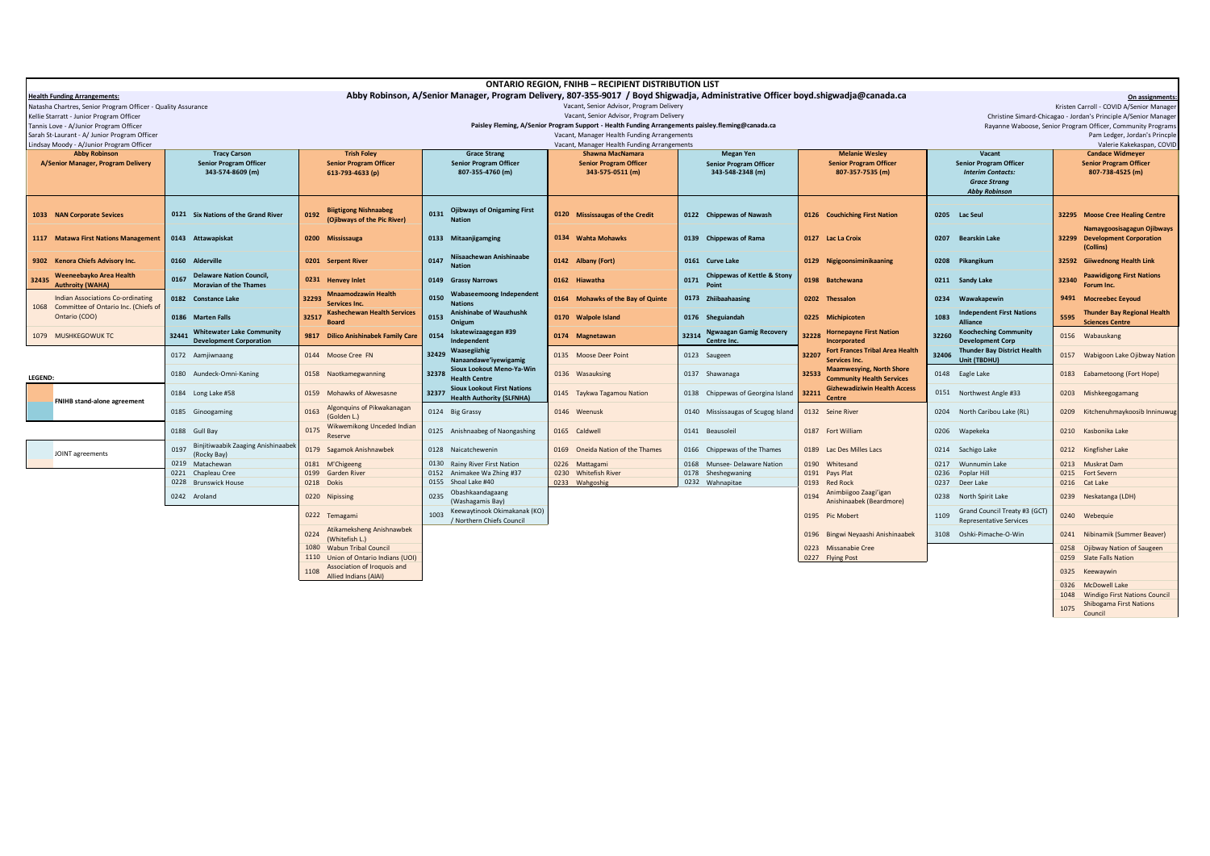| <b>ONTARIO REGION, FNIHB - RECIPIENT DISTRIBUTION LIST</b>                                                                                                               |                                                           |                                                              |                                             |                                                                                                   |                                         |                                           |                                                             |                                                                      |  |
|--------------------------------------------------------------------------------------------------------------------------------------------------------------------------|-----------------------------------------------------------|--------------------------------------------------------------|---------------------------------------------|---------------------------------------------------------------------------------------------------|-----------------------------------------|-------------------------------------------|-------------------------------------------------------------|----------------------------------------------------------------------|--|
| Abby Robinson, A/Senior Manager, Program Delivery, 807-355-9017 / Boyd Shigwadia, Administrative Officer boyd.shigwadia@canada.ca<br><b>Health Funding Arrangements:</b> |                                                           |                                                              |                                             |                                                                                                   |                                         |                                           |                                                             | On assignments:                                                      |  |
| Vacant, Senior Advisor, Program Delivery<br>Natasha Chartres, Senior Program Officer - Quality Assurance                                                                 |                                                           |                                                              |                                             |                                                                                                   |                                         |                                           | Kristen Carroll - COVID A/Senior Manager                    |                                                                      |  |
| Kellie Starratt - Junior Program Officer                                                                                                                                 |                                                           |                                                              |                                             | Vacant, Senior Advisor, Program Delivery                                                          |                                         |                                           |                                                             | Christine Simard-Chicagao - Jordan's Principle A/Senior Manager      |  |
| Tannis Love - A/Junior Program Officer                                                                                                                                   |                                                           |                                                              |                                             | Paisley Fleming, A/Senior Program Support - Health Funding Arrangements paisley.fleming@canada.ca |                                         |                                           | Rayanne Waboose, Senior Program Officer, Community Programs |                                                                      |  |
| Sarah St-Laurant - A/ Junior Program Officer                                                                                                                             |                                                           |                                                              | Vacant, Manager Health Funding Arrangements |                                                                                                   |                                         |                                           | Pam Ledger, Jordan's Princple                               |                                                                      |  |
| Lindsay Moody - A/Junior Program Officer                                                                                                                                 |                                                           |                                                              |                                             | Vacant, Manager Health Funding Arrangements                                                       |                                         |                                           | Valerie Kakekaspan, COVID                                   |                                                                      |  |
| <b>Abby Robinson</b>                                                                                                                                                     | <b>Tracy Carson</b>                                       | <b>Trish Foley</b>                                           | <b>Grace Strang</b>                         | <b>Shawna MacNamara</b>                                                                           | <b>Megan Yen</b>                        | <b>Melanie Wesley</b>                     | Vacant                                                      | <b>Candace Widmeyer</b>                                              |  |
| A/Senior Manager, Program Delivery                                                                                                                                       | <b>Senior Program Officer</b>                             | <b>Senior Program Officer</b>                                | <b>Senior Program Officer</b>               | <b>Senior Program Officer</b>                                                                     | <b>Senior Program Officer</b>           | <b>Senior Program Officer</b>             | <b>Senior Program Officer</b>                               | <b>Senior Program Officer</b>                                        |  |
|                                                                                                                                                                          | 343-574-8609 (m)                                          | 613-793-4633 (p)                                             | 807-355-4760 (m)                            | 343-575-0511 (m)                                                                                  | 343-548-2348 (m)                        | 807-357-7535 (m)                          | <b>Interim Contacts:</b>                                    | 807-738-4525 (m)                                                     |  |
|                                                                                                                                                                          |                                                           |                                                              |                                             |                                                                                                   |                                         |                                           | <b>Grace Strang</b>                                         |                                                                      |  |
|                                                                                                                                                                          |                                                           |                                                              |                                             |                                                                                                   |                                         |                                           | <b>Abby Robinson</b>                                        |                                                                      |  |
|                                                                                                                                                                          |                                                           | <b>Biigtigong Nishnaabeg</b>                                 | <b>Ojibways of Onigaming First</b>          |                                                                                                   |                                         |                                           |                                                             |                                                                      |  |
| 1033 NAN Corporate Sevices                                                                                                                                               | 0121 Six Nations of the Grand River                       | 0192<br>(Oiibways of the Pic River)                          | 0131<br><b>Nation</b>                       | 0120 Mississaugas of the Credit                                                                   | 0122 Chippewas of Nawash                | 0126 Couchiching First Nation             | 0205<br><b>Lac Seul</b>                                     | 32295 Moose Cree Healing Centre                                      |  |
|                                                                                                                                                                          |                                                           |                                                              |                                             |                                                                                                   |                                         |                                           |                                                             | Namaygoosisagagun Ojibways                                           |  |
| 1117 Matawa First Nations Management                                                                                                                                     | 0143 Attawapiskat                                         | 0200 Mississauga                                             | 0133 Mitaanjigamging                        | 0134 Wahta Mohawks                                                                                | 0139 Chippewas of Rama                  | 0127 Lac La Croix                         | <b>Bearskin Lake</b><br>0207                                | 32299 Development Corporation                                        |  |
|                                                                                                                                                                          |                                                           |                                                              |                                             |                                                                                                   |                                         |                                           |                                                             | (Collins)                                                            |  |
| 9302 Kenora Chiefs Advisory Inc.                                                                                                                                         | 0160 Alderville                                           | 0201 Serpent River                                           | Niisaachewan Anishinaabe<br>0147            | 0142 Albany (Fort)                                                                                | 0161 Curve Lake                         | 0129 Nigigoonsiminikaaning                | 0208<br>Pikangikum                                          | 32592 Giiwednong Health Link                                         |  |
|                                                                                                                                                                          |                                                           |                                                              |                                             |                                                                                                   |                                         |                                           |                                                             |                                                                      |  |
| Weeneebayko Area Health<br>32435                                                                                                                                         | <b>Delaware Nation Council,</b><br>0167                   | 0231 Henvey Inlet                                            | 0149 Grassy Narrows                         | 0162 Hiawatha                                                                                     | Chippewas of Kettle & Stony<br>0171     | 0198 Batchewana                           | 0211 Sandy Lake                                             | <b>Paawidigong First Nations</b><br>32340                            |  |
| <b>Authroity (WAHA)</b>                                                                                                                                                  | <b>Moravian of the Thames</b>                             |                                                              |                                             |                                                                                                   | Point                                   |                                           |                                                             | Forum Inc.                                                           |  |
| Indian Associations Co-ordinating                                                                                                                                        | 0182 Constance Lake                                       | <b>Mnaamodzawin Health</b><br>32293                          | Wabaseemoong Independent<br>0150            | 0164 Mohawks of the Bay of Quinte                                                                 | 0173 Zhiibaahaasing                     | 0202 Thessalon                            | 0234<br>Wawakapewin                                         | 9491<br><b>Mocreebec Eeyoud</b>                                      |  |
| 1068 Committee of Ontario Inc. (Chiefs of                                                                                                                                |                                                           | Services Inc.<br><b>Kashechewan Health Services</b>          | <b>Nations</b><br>Anishinabe of Wauzhushk   |                                                                                                   |                                         |                                           | <b>Independent First Nations</b>                            |                                                                      |  |
| Ontario (COO)                                                                                                                                                            | 0186 Marten Falls                                         | 32517                                                        | 0153<br>Onigum                              | 0170 Walpole Island                                                                               | 0176 Sheguiandah                        | 0225 Michipicoten                         | 1083<br><b>Alliance</b>                                     | <b>Thunder Bay Regional Health</b><br>5595<br><b>Sciences Centre</b> |  |
|                                                                                                                                                                          | <b>Whitewater Lake Community</b>                          |                                                              | Iskatewizaagegan #39                        |                                                                                                   | <b>Ngwaagan Gamig Recovery</b>          | <b>Hornepayne First Nation</b>            | <b>Koocheching Community</b>                                |                                                                      |  |
| 1079 MUSHKEGOWUK TC                                                                                                                                                      | 32441<br><b>Development Corporation</b>                   | <b>Dilico Anishinabek Family Care</b><br>9817                | 0154<br>Independent                         | 0174 Magnetawan                                                                                   | 32314<br>Centre Inc.                    | 32228<br>Incorporated                     | 32260<br><b>Development Corp</b>                            | 0156 Wabauskang                                                      |  |
|                                                                                                                                                                          |                                                           |                                                              | Waasegiizhig                                |                                                                                                   |                                         | <b>Fort Frances Tribal Area Health</b>    | <b>Thunder Bay District Health</b>                          |                                                                      |  |
|                                                                                                                                                                          | 0172 Aamjiwnaang                                          | 0144 Moose Cree FN                                           | 32429<br>Nanaandawe'iyewigamig              | 0135 Moose Deer Point                                                                             | 0123 Saugeen                            | 32207<br>Services Inc.                    | 32406<br>Unit (TBDHU)                                       | Wabigoon Lake Ojibway Nation<br>0157                                 |  |
|                                                                                                                                                                          |                                                           |                                                              | Sioux Lookout Meno-Ya-Win                   | 0136 Wasauksing                                                                                   |                                         | <b>Maamwesying, North Shore</b>           |                                                             |                                                                      |  |
| LEGEND:                                                                                                                                                                  | 0180 Aundeck-Omni-Kaning                                  | 0158 Naotkamegwanning                                        | 32378<br><b>Health Centre</b>               |                                                                                                   | 0137 Shawanaga                          | 32533<br><b>Community Health Services</b> | 0148 Eagle Lake                                             | 0183 Eabametoong (Fort Hope)                                         |  |
|                                                                                                                                                                          | 0184 Long Lake #58                                        | 0159 Mohawks of Akwesasne                                    | <b>Sioux Lookout First Nations</b><br>32377 | 0145 Taykwa Tagamou Nation                                                                        | 0138 Chippewas of Georgina Island 32211 | <b>Gizhewadiziwin Health Access</b>       | 0151 Northwest Angle #33                                    | 0203 Mishkeegogamang                                                 |  |
| <b>FNIHB</b> stand-alone agreement                                                                                                                                       |                                                           |                                                              | <b>Health Authority (SLFNHA)</b>            |                                                                                                   |                                         | Centre                                    |                                                             |                                                                      |  |
|                                                                                                                                                                          | 0185 Ginoogaming                                          | Algonquins of Pikwakanagan<br>0163                           | 0124 Big Grassy                             | 0146 Weenusk                                                                                      | 0140 Mississaugas of Scugog Island      | 0132 Seine River                          | 0204<br>North Caribou Lake (RL)                             | 0209 Kitchenuhmaykoosib Inninuwug                                    |  |
|                                                                                                                                                                          |                                                           | (Golden L.)                                                  |                                             |                                                                                                   |                                         |                                           |                                                             |                                                                      |  |
|                                                                                                                                                                          | 0188 Gull Bay                                             | Wikwemikong Unceded Indian<br>0175                           | 0125 Anishnaabeg of Naongashing             | 0165 Caldwell                                                                                     | 0141 Beausoleil                         | 0187 Fort William                         | 0206<br>Wapekeka                                            | 0210 Kasbonika Lake                                                  |  |
|                                                                                                                                                                          |                                                           | Reserve                                                      |                                             |                                                                                                   |                                         |                                           |                                                             |                                                                      |  |
| JOINT agreements                                                                                                                                                         | Binjitiwaabik Zaaging Anishinaabel<br>0197<br>(Rocky Bay) | 0179 Sagamok Anishnawbek                                     | 0128 Naicatchewenin                         | 0169 Oneida Nation of the Thames                                                                  | 0166 Chippewas of the Thames            | 0189 Lac Des Milles Lacs                  | 0214<br>Sachigo Lake                                        | 0212 Kingfisher Lake                                                 |  |
|                                                                                                                                                                          | 0219 Matachewan                                           | 0181 M'Chigeeng                                              | 0130 Rainy River First Nation               | 0226 Mattagami                                                                                    | 0168 Munsee- Delaware Nation            | 0190 Whitesand                            | 0217<br>Wunnumin Lake                                       | 0213<br>Muskrat Dam                                                  |  |
|                                                                                                                                                                          | 0221 Chapleau Cree                                        | 0199 Garden River                                            | 0152 Animakee Wa Zhing #37                  | 0230 Whitefish River                                                                              | 0178 Sheshegwaning                      | 0191 Pays Plat                            | 0236<br>Poplar Hill                                         | 0215 Fort Severn                                                     |  |
|                                                                                                                                                                          | 0228 Brunswick House                                      | 0218 Dokis                                                   | 0155 Shoal Lake #40                         | 0233 Wahgoshig                                                                                    | 0232 Wahnapitae                         | 0193 Red Rock                             | 0237<br>Deer Lake                                           | 0216 Cat Lake                                                        |  |
|                                                                                                                                                                          |                                                           |                                                              | Obashkaandagaang                            |                                                                                                   |                                         | Animbiigoo Zaagi'igan                     |                                                             |                                                                      |  |
|                                                                                                                                                                          | 0242 Aroland                                              | 0220 Nipissing                                               | 0235<br>(Washagamis Bay)                    |                                                                                                   |                                         | 0194<br>Anishinaabek (Beardmore)          | North Spirit Lake<br>0238                                   | 0239 Neskatanga (LDH)                                                |  |
|                                                                                                                                                                          |                                                           |                                                              | Keewaytinook Okimakanak (KO)<br>1003        |                                                                                                   |                                         |                                           | Grand Council Treaty #3 (GCT)<br>1109                       |                                                                      |  |
|                                                                                                                                                                          |                                                           | 0222 Temagami                                                | / Northern Chiefs Council                   |                                                                                                   |                                         | 0195 Pic Mobert                           | <b>Representative Services</b>                              | 0240 Webequie                                                        |  |
|                                                                                                                                                                          |                                                           | Atikameksheng Anishnawbek<br>0224                            |                                             |                                                                                                   |                                         | 0196 Bingwi Neyaashi Anishinaabek         | 3108 Oshki-Pimache-O-Win                                    | Nibinamik (Summer Beaver)<br>0241                                    |  |
|                                                                                                                                                                          |                                                           | (Whitefish L.)                                               |                                             |                                                                                                   |                                         |                                           |                                                             |                                                                      |  |
|                                                                                                                                                                          |                                                           | 1080 Wabun Tribal Council                                    |                                             |                                                                                                   |                                         | 0223 Missanabie Cree                      |                                                             | Ojibway Nation of Saugeen<br>0258                                    |  |
|                                                                                                                                                                          |                                                           | 1110 Union of Ontario Indians (UOI)                          |                                             |                                                                                                   |                                         | 0227 Flying Post                          |                                                             | 0259 Slate Falls Nation                                              |  |
|                                                                                                                                                                          |                                                           | Association of Iroquois and<br>1108<br>Allied Indians (AIAI) |                                             |                                                                                                   |                                         |                                           |                                                             | 0325 Keewaywin                                                       |  |
|                                                                                                                                                                          |                                                           |                                                              |                                             |                                                                                                   |                                         |                                           |                                                             | 0326 McDowell Lake                                                   |  |
|                                                                                                                                                                          |                                                           |                                                              |                                             |                                                                                                   |                                         |                                           |                                                             | 1048 Mindigo First Nations Council                                   |  |

1048 Windigo First Nations Council <sup>1075</sup> Shibogama First Nations Council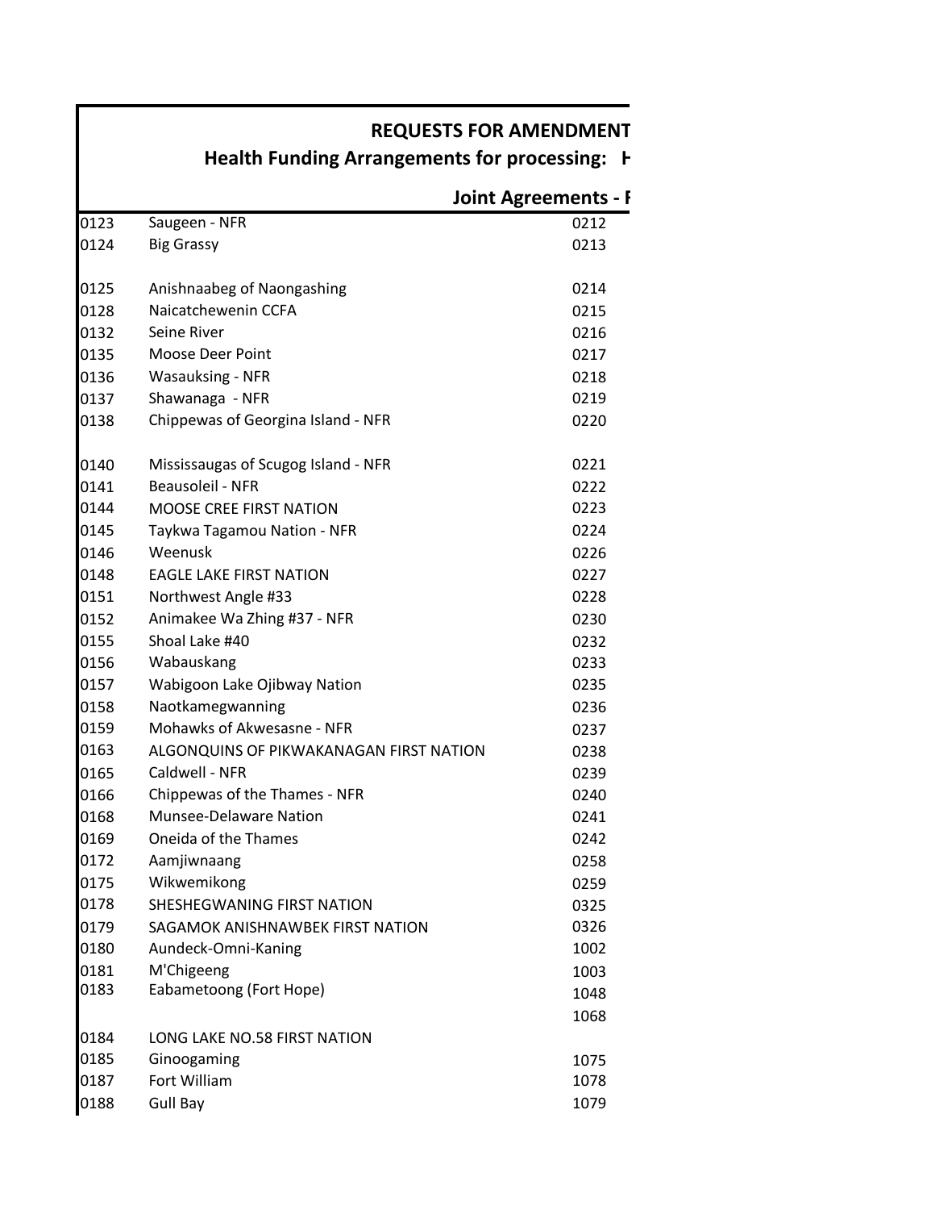# **REQUESTS FOR AMENDMENT**

# **Health Funding Arrangements for processing: H**

|      |                                         | <b>Joint Agreements - F</b> |
|------|-----------------------------------------|-----------------------------|
| 0123 | Saugeen - NFR                           | 0212                        |
| 0124 | <b>Big Grassy</b>                       | 0213                        |
| 0125 | Anishnaabeg of Naongashing              | 0214                        |
| 0128 | Naicatchewenin CCFA                     | 0215                        |
| 0132 | Seine River                             | 0216                        |
| 0135 | Moose Deer Point                        | 0217                        |
| 0136 | <b>Wasauksing - NFR</b>                 | 0218                        |
| 0137 | Shawanaga - NFR                         | 0219                        |
| 0138 | Chippewas of Georgina Island - NFR      | 0220                        |
| 0140 | Mississaugas of Scugog Island - NFR     | 0221                        |
| 0141 | <b>Beausoleil - NFR</b>                 | 0222                        |
| 0144 | <b>MOOSE CREE FIRST NATION</b>          | 0223                        |
| 0145 | Taykwa Tagamou Nation - NFR             | 0224                        |
| 0146 | Weenusk                                 | 0226                        |
| 0148 | <b>EAGLE LAKE FIRST NATION</b>          | 0227                        |
| 0151 | Northwest Angle #33                     | 0228                        |
| 0152 | Animakee Wa Zhing #37 - NFR             | 0230                        |
| 0155 | Shoal Lake #40                          | 0232                        |
| 0156 | Wabauskang                              | 0233                        |
| 0157 | Wabigoon Lake Ojibway Nation            | 0235                        |
| 0158 | Naotkamegwanning                        | 0236                        |
| 0159 | Mohawks of Akwesasne - NFR              | 0237                        |
| 0163 | ALGONQUINS OF PIKWAKANAGAN FIRST NATION | 0238                        |
| 0165 | Caldwell - NFR                          | 0239                        |
| 0166 | Chippewas of the Thames - NFR           | 0240                        |
| 0168 | <b>Munsee-Delaware Nation</b>           | 0241                        |
| 0169 | Oneida of the Thames                    | 0242                        |
| 0172 | Aamjiwnaang                             | 0258                        |
| 0175 | Wikwemikong                             | 0259                        |
| 0178 | <b>SHESHEGWANING FIRST NATION</b>       | 0325                        |
| 0179 | SAGAMOK ANISHNAWBEK FIRST NATION        | 0326                        |
| 0180 | Aundeck-Omni-Kaning                     | 1002                        |
| 0181 | M'Chigeeng                              | 1003                        |
| 0183 | Eabametoong (Fort Hope)                 | 1048                        |
|      |                                         | 1068                        |
| 0184 | LONG LAKE NO.58 FIRST NATION            |                             |
| 0185 | Ginoogaming                             | 1075                        |
| 0187 | Fort William                            | 1078                        |
| 0188 | <b>Gull Bay</b>                         | 1079                        |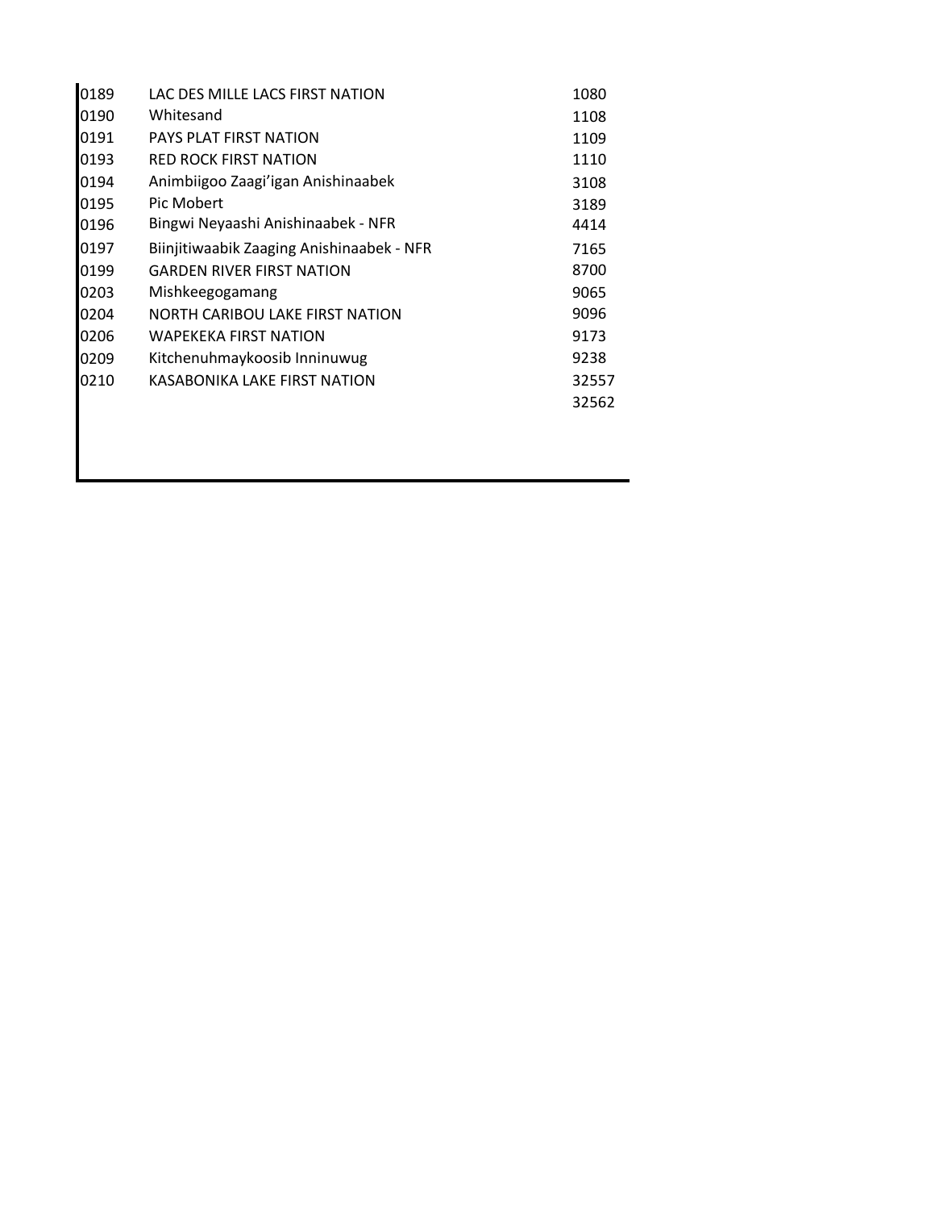| 0189 | LAC DES MILLE LACS FIRST NATION           | 1080  |
|------|-------------------------------------------|-------|
| 0190 | Whitesand                                 | 1108  |
| 0191 | PAYS PLAT FIRST NATION                    | 1109  |
| 0193 | <b>RED ROCK FIRST NATION</b>              | 1110  |
| 0194 | Animbiigoo Zaagi'igan Anishinaabek        | 3108  |
| 0195 | Pic Mobert                                | 3189  |
| 0196 | Bingwi Neyaashi Anishinaabek - NFR        | 4414  |
| 0197 | Biinjitiwaabik Zaaging Anishinaabek - NFR | 7165  |
| 0199 | <b>GARDEN RIVER FIRST NATION</b>          | 8700  |
| 0203 | Mishkeegogamang                           | 9065  |
| 0204 | NORTH CARIBOU LAKE FIRST NATION           | 9096  |
| 0206 | <b>WAPEKEKA FIRST NATION</b>              | 9173  |
| 0209 | Kitchenuhmaykoosib Inninuwug              | 9238  |
| 0210 | KASABONIKA LAKE FIRST NATION              | 32557 |
|      |                                           | 32562 |
|      |                                           |       |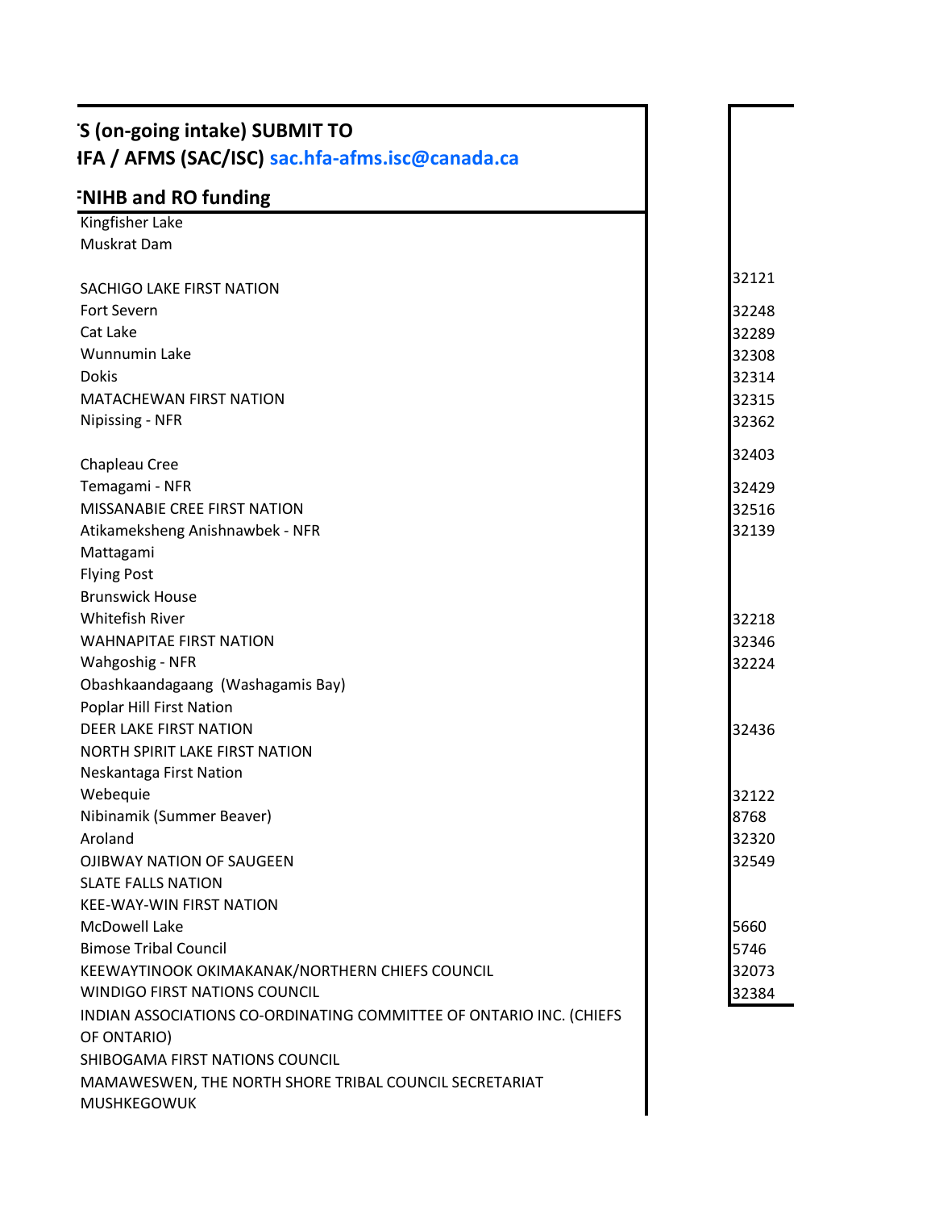| 'S (on-going intake) SUBMIT TO<br>IFA / AFMS (SAC/ISC) sac.hfa-afms.isc@canada.ca |       |
|-----------------------------------------------------------------------------------|-------|
| <b>FNIHB and RO funding</b>                                                       |       |
| Kingfisher Lake                                                                   |       |
| Muskrat Dam                                                                       |       |
| SACHIGO LAKE FIRST NATION                                                         | 32121 |
| Fort Severn                                                                       | 32248 |
| Cat Lake                                                                          | 32289 |
| Wunnumin Lake                                                                     | 32308 |
| Dokis                                                                             | 32314 |
|                                                                                   |       |
| MATACHEWAN FIRST NATION                                                           | 32315 |
| Nipissing - NFR                                                                   | 32362 |
| Chapleau Cree                                                                     | 32403 |
| Temagami - NFR                                                                    | 32429 |
| MISSANABIE CREE FIRST NATION                                                      | 32516 |
| Atikameksheng Anishnawbek - NFR                                                   | 32139 |
| Mattagami                                                                         |       |
| <b>Flying Post</b>                                                                |       |
| <b>Brunswick House</b>                                                            |       |
| Whitefish River                                                                   |       |
|                                                                                   | 32218 |
| <b>WAHNAPITAE FIRST NATION</b>                                                    | 32346 |
| Wahgoshig - NFR                                                                   | 32224 |
| Obashkaandagaang (Washagamis Bay)                                                 |       |
| Poplar Hill First Nation                                                          |       |
| DEER LAKE FIRST NATION                                                            | 32436 |
| NORTH SPIRIT LAKE FIRST NATION                                                    |       |
| Neskantaga First Nation                                                           |       |
| Webequie                                                                          | 32122 |
| Nibinamik (Summer Beaver)                                                         | 8768  |
| Aroland                                                                           | 32320 |
| OJIBWAY NATION OF SAUGEEN                                                         | 32549 |
| <b>SLATE FALLS NATION</b>                                                         |       |
| KEE-WAY-WIN FIRST NATION                                                          |       |
| McDowell Lake                                                                     | 5660  |
| <b>Bimose Tribal Council</b>                                                      | 5746  |
| KEEWAYTINOOK OKIMAKANAK/NORTHERN CHIEFS COUNCIL                                   | 32073 |
| WINDIGO FIRST NATIONS COUNCIL                                                     | 32384 |
| INDIAN ASSOCIATIONS CO-ORDINATING COMMITTEE OF ONTARIO INC. (CHIEFS               |       |
| OF ONTARIO)                                                                       |       |
| SHIBOGAMA FIRST NATIONS COUNCIL                                                   |       |
| MAMAWESWEN, THE NORTH SHORE TRIBAL COUNCIL SECRETARIAT                            |       |
| MUSHKEGOWUK                                                                       |       |
|                                                                                   |       |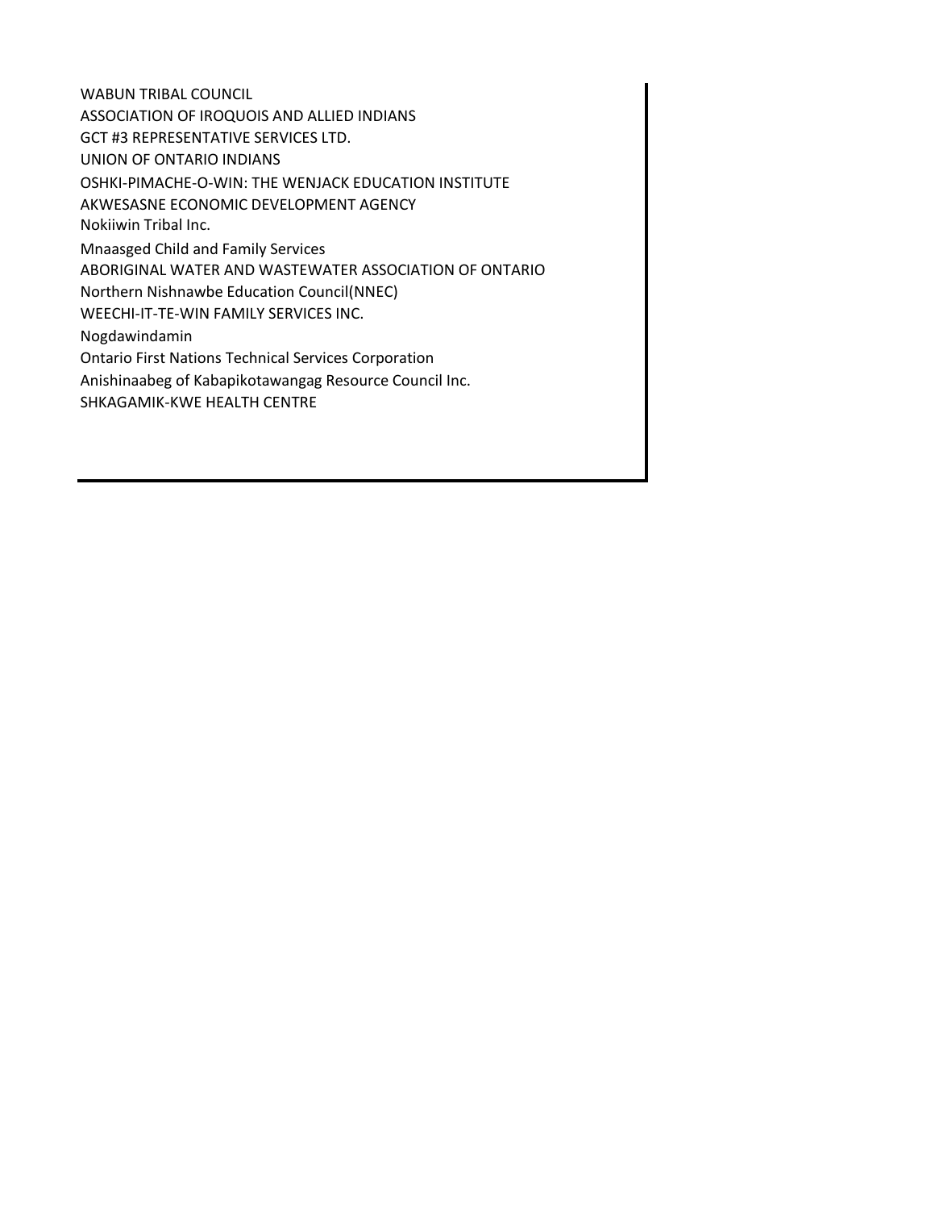WABUN TRIBAL COUNCIL ASSOCIATION OF IROQUOIS AND ALLIED INDIANS GCT #3 REPRESENTATIVE SERVICES LTD. UNION OF ONTARIO INDIANS OSHKI-PIMACHE-O-WIN: THE WENJACK EDUCATION INSTITUTE AKWESASNE ECONOMIC DEVELOPMENT AGENCY Nokiiwin Tribal Inc. Mnaasged Child and Family Services ABORIGINAL WATER AND WASTEWATER ASSOCIATION OF ONTARIO Northern Nishnawbe Education Council(NNEC) WEECHI-IT-TE-WIN FAMILY SERVICES INC. Nogdawindamin Ontario First Nations Technical Services Corporation Anishinaabeg of Kabapikotawangag Resource Council Inc. SHKAGAMIK-KWE HEALTH CENTRE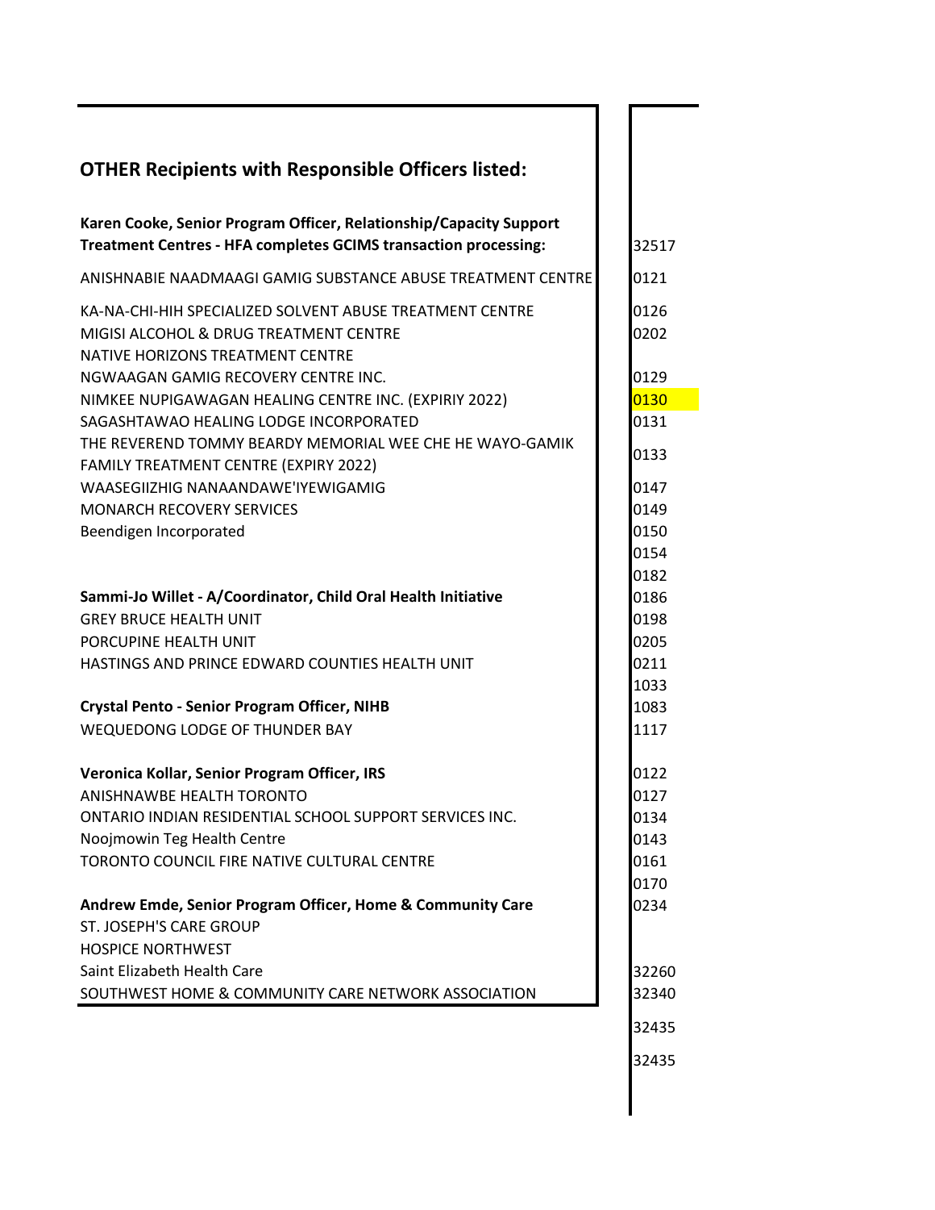| <b>OTHER Recipients with Responsible Officers listed:</b>                                                                              |              |
|----------------------------------------------------------------------------------------------------------------------------------------|--------------|
| Karen Cooke, Senior Program Officer, Relationship/Capacity Support<br>Treatment Centres - HFA completes GCIMS transaction processing:  | 32517        |
| ANISHNABIE NAADMAAGI GAMIG SUBSTANCE ABUSE TREATMENT CENTRE                                                                            | 0121         |
| KA-NA-CHI-HIH SPECIALIZED SOLVENT ABUSE TREATMENT CENTRE<br>MIGISI ALCOHOL & DRUG TREATMENT CENTRE<br>NATIVE HORIZONS TREATMENT CENTRE | 0126<br>0202 |
| NGWAAGAN GAMIG RECOVERY CENTRE INC.                                                                                                    | 0129         |
| NIMKEE NUPIGAWAGAN HEALING CENTRE INC. (EXPIRIY 2022)                                                                                  | 0130         |
| SAGASHTAWAO HEALING LODGE INCORPORATED                                                                                                 | 0131         |
| THE REVEREND TOMMY BEARDY MEMORIAL WEE CHE HE WAYO-GAMIK<br>FAMILY TREATMENT CENTRE (EXPIRY 2022)                                      | 0133         |
| WAASEGIIZHIG NANAANDAWE'IYEWIGAMIG                                                                                                     | 0147         |
| MONARCH RECOVERY SERVICES                                                                                                              | 0149         |
| Beendigen Incorporated                                                                                                                 | 0150         |
|                                                                                                                                        | 0154         |
|                                                                                                                                        | 0182         |
| Sammi-Jo Willet - A/Coordinator, Child Oral Health Initiative                                                                          | 0186         |
| <b>GREY BRUCE HEALTH UNIT</b>                                                                                                          | 0198         |
| PORCUPINE HEALTH UNIT                                                                                                                  | 0205         |
| HASTINGS AND PRINCE EDWARD COUNTIES HEALTH UNIT                                                                                        | 0211         |
|                                                                                                                                        | 1033         |
| <b>Crystal Pento - Senior Program Officer, NIHB</b><br>WEQUEDONG LODGE OF THUNDER BAY                                                  | 1083         |
|                                                                                                                                        | 1117         |
| Veronica Kollar, Senior Program Officer, IRS                                                                                           | 0122         |
| ANISHNAWBE HEALTH TORONTO                                                                                                              | 0127         |
| ONTARIO INDIAN RESIDENTIAL SCHOOL SUPPORT SERVICES INC.                                                                                | 0134         |
| Noojmowin Teg Health Centre                                                                                                            | 0143         |
| TORONTO COUNCIL FIRE NATIVE CULTURAL CENTRE                                                                                            | 0161         |
|                                                                                                                                        | 0170         |
| Andrew Emde, Senior Program Officer, Home & Community Care                                                                             | 0234         |
| ST. JOSEPH'S CARE GROUP                                                                                                                |              |
| <b>HOSPICE NORTHWEST</b>                                                                                                               |              |
| Saint Elizabeth Health Care                                                                                                            | 32260        |
| SOUTHWEST HOME & COMMUNITY CARE NETWORK ASSOCIATION                                                                                    | 32340        |
|                                                                                                                                        | 32435        |
|                                                                                                                                        | 32435        |
|                                                                                                                                        |              |
|                                                                                                                                        |              |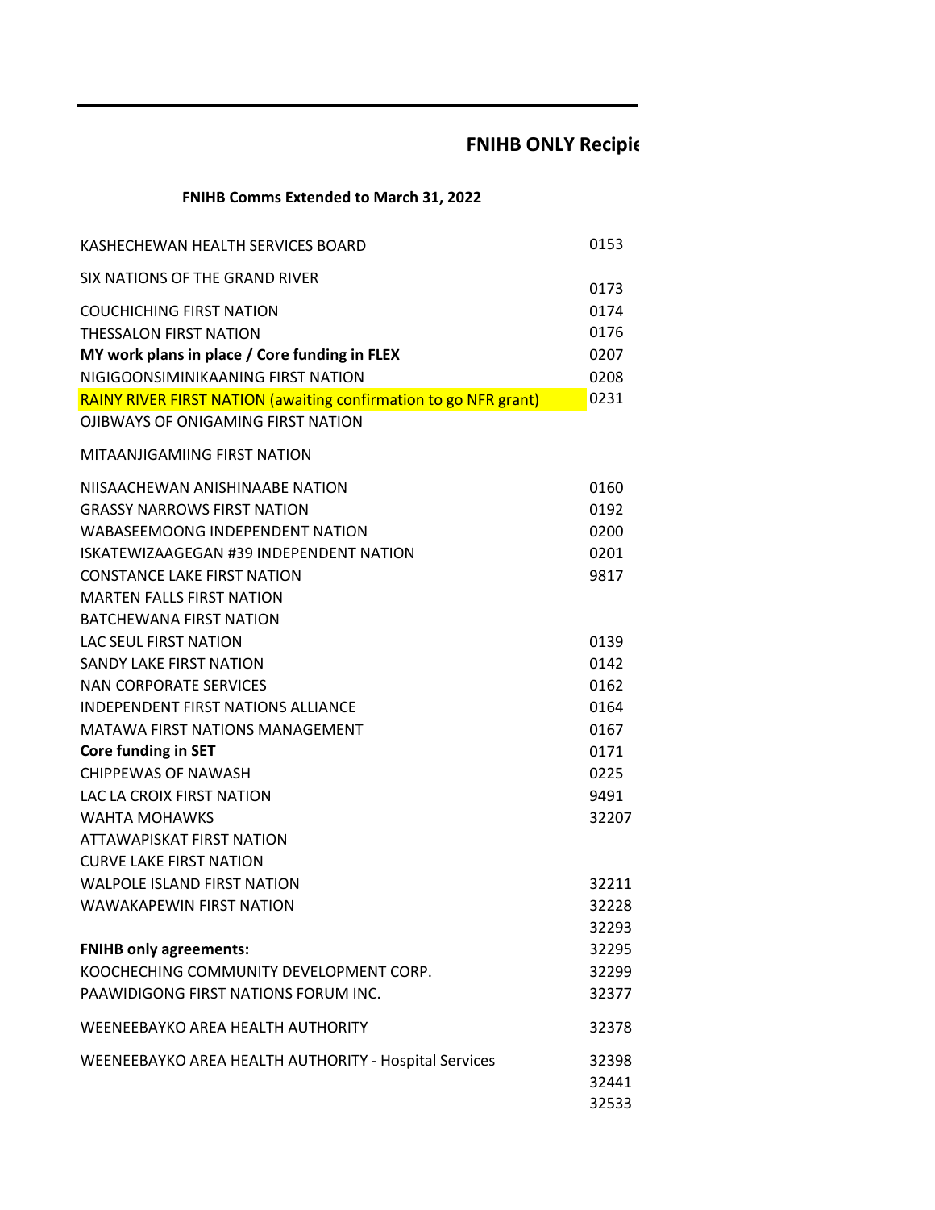## **FNIHB ONLY Recipie**

### **FNIHB Comms Extended to March 31, 2022**

| KASHECHEWAN HEALTH SERVICES BOARD                                | 0153  |
|------------------------------------------------------------------|-------|
| SIX NATIONS OF THE GRAND RIVER                                   | 0173  |
| <b>COUCHICHING FIRST NATION</b>                                  | 0174  |
| <b>THESSALON FIRST NATION</b>                                    | 0176  |
| MY work plans in place / Core funding in FLEX                    | 0207  |
| NIGIGOONSIMINIKAANING FIRST NATION                               | 0208  |
| RAINY RIVER FIRST NATION (awaiting confirmation to go NFR grant) | 0231  |
| <b>OJIBWAYS OF ONIGAMING FIRST NATION</b>                        |       |
| MITAANJIGAMIING FIRST NATION                                     |       |
| NIISAACHEWAN ANISHINAABE NATION                                  | 0160  |
| <b>GRASSY NARROWS FIRST NATION</b>                               | 0192  |
| WABASEEMOONG INDEPENDENT NATION                                  | 0200  |
| ISKATEWIZAAGEGAN #39 INDEPENDENT NATION                          | 0201  |
| <b>CONSTANCE LAKE FIRST NATION</b>                               | 9817  |
| <b>MARTEN FALLS FIRST NATION</b>                                 |       |
| <b>BATCHEWANA FIRST NATION</b>                                   |       |
| <b>LAC SEUL FIRST NATION</b>                                     | 0139  |
| <b>SANDY LAKE FIRST NATION</b>                                   | 0142  |
| NAN CORPORATE SERVICES                                           | 0162  |
| <b>INDEPENDENT FIRST NATIONS ALLIANCE</b>                        | 0164  |
| MATAWA FIRST NATIONS MANAGEMENT                                  | 0167  |
| <b>Core funding in SET</b>                                       | 0171  |
| <b>CHIPPEWAS OF NAWASH</b>                                       | 0225  |
| LAC LA CROIX FIRST NATION                                        | 9491  |
| <b>WAHTA MOHAWKS</b>                                             | 32207 |
| ATTAWAPISKAT FIRST NATION                                        |       |
| <b>CURVE LAKE FIRST NATION</b>                                   |       |
| <b>WALPOLE ISLAND FIRST NATION</b>                               | 32211 |
| <b>WAWAKAPEWIN FIRST NATION</b>                                  | 32228 |
|                                                                  | 32293 |
| <b>FNIHB only agreements:</b>                                    | 32295 |
| KOOCHECHING COMMUNITY DEVELOPMENT CORP.                          | 32299 |
| PAAWIDIGONG FIRST NATIONS FORUM INC.                             | 32377 |
| WEENEEBAYKO AREA HEALTH AUTHORITY                                | 32378 |
| WEENEEBAYKO AREA HEALTH AUTHORITY - Hospital Services            | 32398 |
|                                                                  | 32441 |
|                                                                  | 32533 |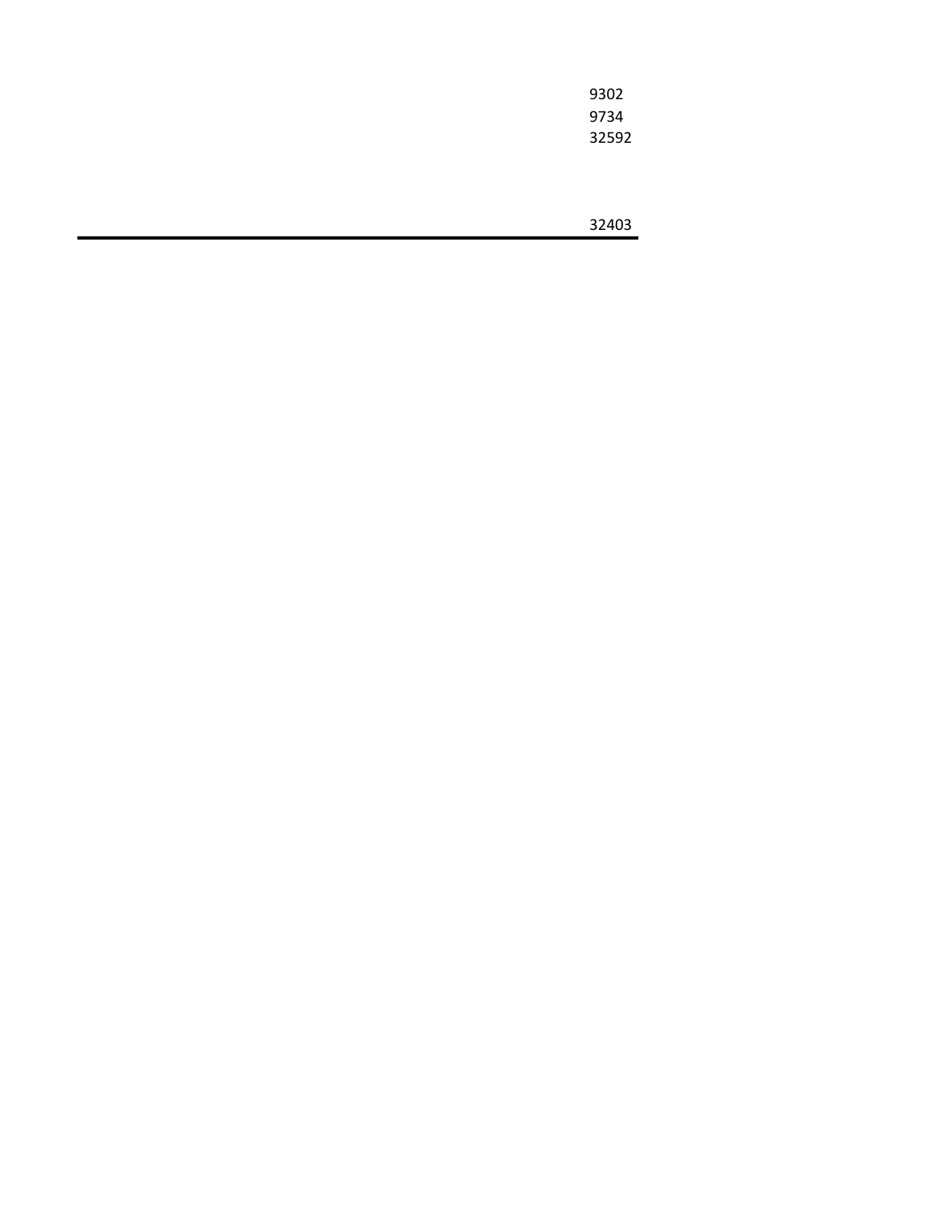| 9302  |
|-------|
| 9734  |
| 32592 |
|       |
|       |
|       |
| 32403 |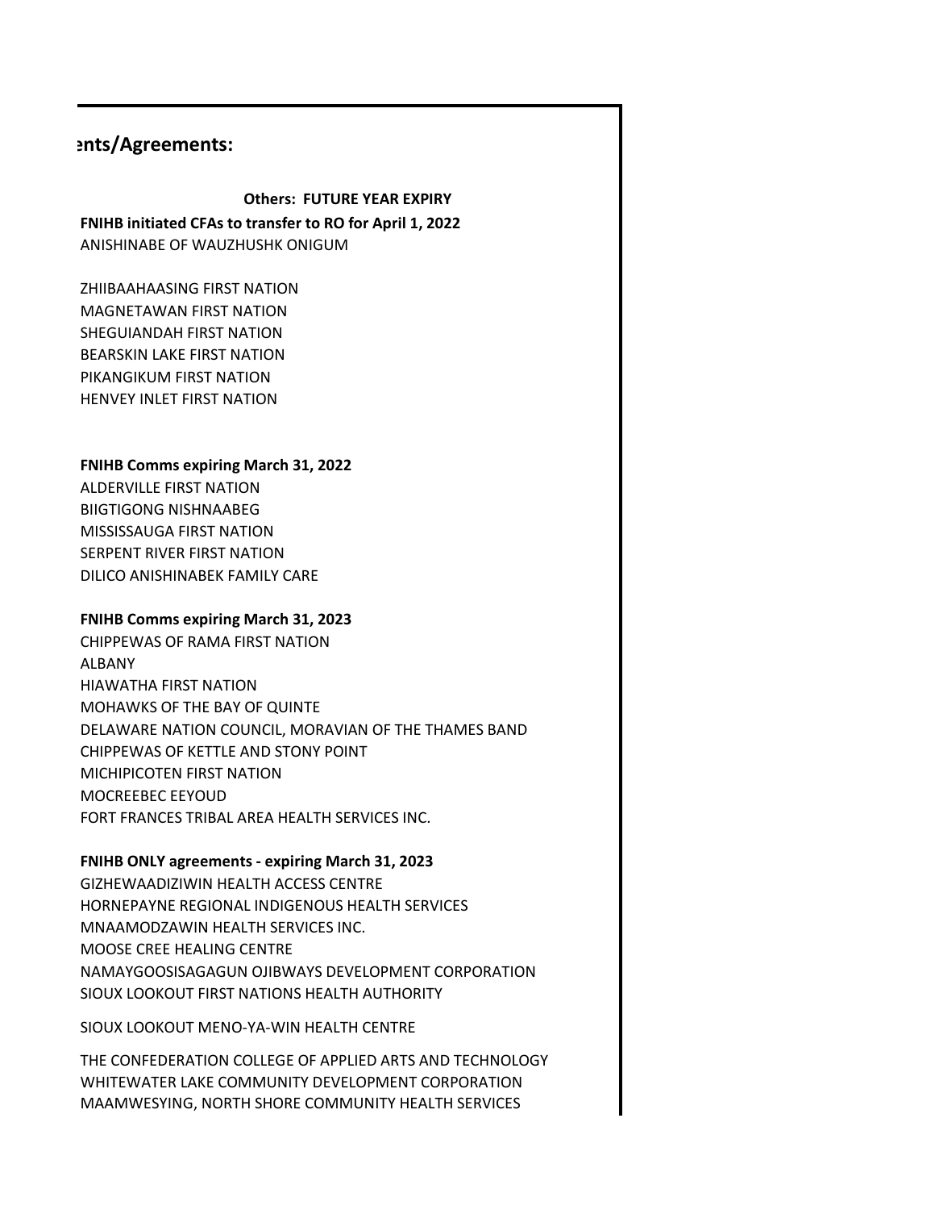### **Ents/Agreements:**

### **Others: FUTURE YEAR EXPIRY**

**FNIHB initiated CFAs to transfer to RO for April 1, 2022** ANISHINABE OF WAUZHUSHK ONIGUM

ZHIIBAAHAASING FIRST NATION MAGNETAWAN FIRST NATION SHEGUIANDAH FIRST NATION BEARSKIN LAKE FIRST NATION PIKANGIKUM FIRST NATION HENVEY INLET FIRST NATION

### **FNIHB Comms expiring March 31, 2022**

ALDERVILLE FIRST NATION BIIGTIGONG NISHNAABEG MISSISSAUGA FIRST NATION SERPENT RIVER FIRST NATION DILICO ANISHINABEK FAMILY CARE

#### **FNIHB Comms expiring March 31, 2023**

CHIPPEWAS OF RAMA FIRST NATION ALBANY HIAWATHA FIRST NATION MOHAWKS OF THE BAY OF QUINTE DELAWARE NATION COUNCIL, MORAVIAN OF THE THAMES BAND CHIPPEWAS OF KETTLE AND STONY POINT MICHIPICOTEN FIRST NATION MOCREEBEC EEYOUD FORT FRANCES TRIBAL AREA HEALTH SERVICES INC.

#### **FNIHB ONLY agreements - expiring March 31, 2023**

GIZHEWAADIZIWIN HEALTH ACCESS CENTRE HORNEPAYNE REGIONAL INDIGENOUS HEALTH SERVICES MNAAMODZAWIN HEALTH SERVICES INC. MOOSE CREE HEALING CENTRE NAMAYGOOSISAGAGUN OJIBWAYS DEVELOPMENT CORPORATION SIOUX LOOKOUT FIRST NATIONS HEALTH AUTHORITY

SIOUX LOOKOUT MENO-YA-WIN HEALTH CENTRE

THE CONFEDERATION COLLEGE OF APPLIED ARTS AND TECHNOLOGY WHITEWATER LAKE COMMUNITY DEVELOPMENT CORPORATION MAAMWESYING, NORTH SHORE COMMUNITY HEALTH SERVICES